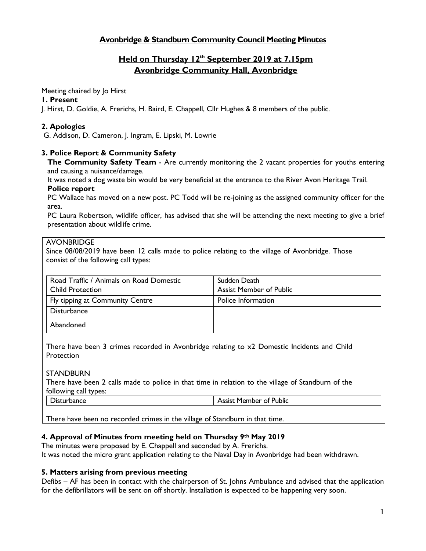# **Avonbridge & Standburn Community Council Meeting Minutes**

# **Held on Thursday 12th September 2019 at 7.15pm Avonbridge Community Hall, Avonbridge**

#### Meeting chaired by Jo Hirst

#### **1. Present**

J. Hirst, D. Goldie, A. Frerichs, H. Baird, E. Chappell, Cllr Hughes & 8 members of the public.

# **2. Apologies**

G. Addison, D. Cameron, J. Ingram, E. Lipski, M. Lowrie

# **3. Police Report & Community Safety**

**The Community Safety Team** - Are currently monitoring the 2 vacant properties for youths entering and causing a nuisance/damage.

It was noted a dog waste bin would be very beneficial at the entrance to the River Avon Heritage Trail. **Police report**

PC Wallace has moved on a new post. PC Todd will be re-joining as the assigned community officer for the area.

PC Laura Robertson, wildlife officer, has advised that she will be attending the next meeting to give a brief presentation about wildlife crime.

# AVONBRIDGE

Since 08/08/2019 have been 12 calls made to police relating to the village of Avonbridge. Those consist of the following call types:

| Road Traffic / Animals on Road Domestic | Sudden Death                   |
|-----------------------------------------|--------------------------------|
| <b>Child Protection</b>                 | <b>Assist Member of Public</b> |
| Fly tipping at Community Centre         | Police Information             |
| <b>Disturbance</b>                      |                                |
| Abandoned                               |                                |

There have been 3 crimes recorded in Avonbridge relating to x2 Domestic Incidents and Child **Protection** 

### **STANDBURN**

There have been 2 calls made to police in that time in relation to the village of Standburn of the following call types:

| <b>Disturbance</b> | <b>Assist Member of Public</b> |
|--------------------|--------------------------------|
|                    |                                |

There have been no recorded crimes in the village of Standburn in that time.

# **4. Approval of Minutes from meeting held on Thursday 9th May 2019**

The minutes were proposed by E. Chappell and seconded by A. Frerichs. It was noted the micro grant application relating to the Naval Day in Avonbridge had been withdrawn.

### **5. Matters arising from previous meeting**

Defibs – AF has been in contact with the chairperson of St. Johns Ambulance and advised that the application for the defibrillators will be sent on off shortly. Installation is expected to be happening very soon.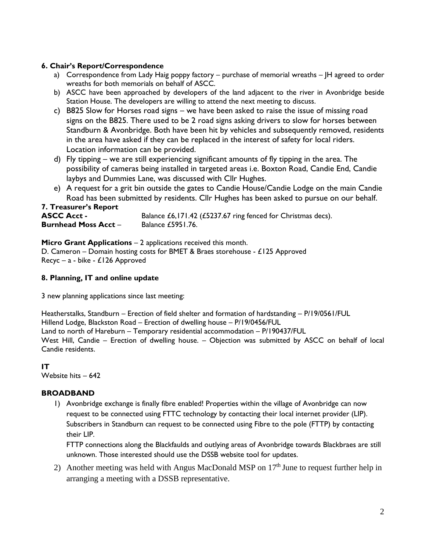# **6. Chair's Report/Correspondence**

- a) Correspondence from Lady Haig poppy factory purchase of memorial wreaths IH agreed to order wreaths for both memorials on behalf of ASCC.
- b) ASCC have been approached by developers of the land adjacent to the river in Avonbridge beside Station House. The developers are willing to attend the next meeting to discuss.
- c) B825 Slow for Horses road signs we have been asked to raise the issue of missing road signs on the B825. There used to be 2 road signs asking drivers to slow for horses between Standburn & Avonbridge. Both have been hit by vehicles and subsequently removed, residents in the area have asked if they can be replaced in the interest of safety for local riders. Location information can be provided.
- d) Fly tipping we are still experiencing significant amounts of fly tipping in the area. The possibility of cameras being installed in targeted areas i.e. Boxton Road, Candie End, Candie laybys and Dummies Lane, was discussed with Cllr Hughes.
- e) A request for a grit bin outside the gates to Candie House/Candie Lodge on the main Candie Road has been submitted by residents. Cllr Hughes has been asked to pursue on our behalf.

| <b>7. Treasurer's Report</b> |                                                              |
|------------------------------|--------------------------------------------------------------|
| <b>ASCC Acct -</b>           | Balance £6,171.42 (£5237.67 ring fenced for Christmas decs). |
| <b>Burnhead Moss Acct -</b>  | Balance £5951.76.                                            |

# **Micro Grant Applications – 2 applications received this month.**

D. Cameron – Domain hosting costs for BMET & Braes storehouse - £125 Approved Recyc – a - bike - £126 Approved

# **8. Planning, IT and online update**

3 new planning applications since last meeting:

Heatherstalks, Standburn – Erection of field shelter and formation of hardstanding – P/19/0561/FUL Hillend Lodge, Blackston Road – Erection of dwelling house – P/19/0456/FUL Land to north of Hareburn – Temporary residential accommodation – P/190437/FUL West Hill, Candie – Erection of dwelling house. – Objection was submitted by ASCC on behalf of local Candie residents.

**IT** Website hits – 642

# **BROADBAND**

1) Avonbridge exchange is finally fibre enabled! Properties within the village of Avonbridge can now request to be connected using FTTC technology by contacting their local internet provider (LIP). Subscribers in Standburn can request to be connected using Fibre to the pole (FTTP) by contacting their LIP.

FTTP connections along the Blackfaulds and outlying areas of Avonbridge towards Blackbraes are still unknown. Those interested should use the DSSB website tool for updates.

2) Another meeting was held with Angus MacDonald MSP on  $17<sup>th</sup>$  June to request further help in arranging a meeting with a DSSB representative.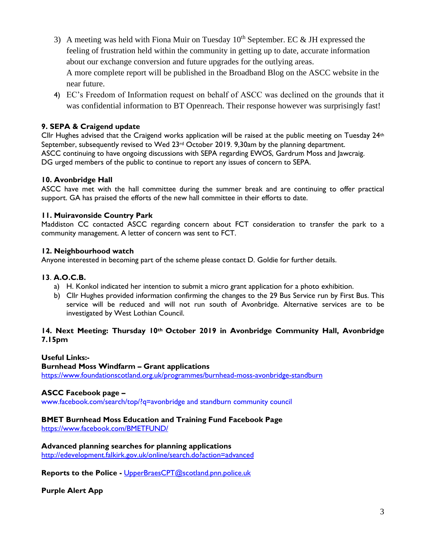- 3) A meeting was held with Fiona Muir on Tuesday  $10^{th}$  September. EC & JH expressed the feeling of frustration held within the community in getting up to date, accurate information about our exchange conversion and future upgrades for the outlying areas. A more complete report will be published in the Broadband Blog on the ASCC website in the near future.
- 4) EC's Freedom of Information request on behalf of ASCC was declined on the grounds that it was confidential information to BT Openreach. Their response however was surprisingly fast!

# **9. SEPA & Craigend update**

Cllr Hughes advised that the Craigend works application will be raised at the public meeting on Tuesday  $24<sup>th</sup>$ September, subsequently revised to Wed 23<sup>rd</sup> October 2019. 9,30am by the planning department. ASCC continuing to have ongoing discussions with SEPA regarding EWOS, Gardrum Moss and Jawcraig. DG urged members of the public to continue to report any issues of concern to SEPA.

# **10. Avonbridge Hall**

ASCC have met with the hall committee during the summer break and are continuing to offer practical support. GA has praised the efforts of the new hall committee in their efforts to date.

# **11. Muiravonside Country Park**

Maddiston CC contacted ASCC regarding concern about FCT consideration to transfer the park to a community management. A letter of concern was sent to FCT.

### **12. Neighbourhood watch**

Anyone interested in becoming part of the scheme please contact D. Goldie for further details.

### **13**. **A.O.C.B.**

- a) H. Konkol indicated her intention to submit a micro grant application for a photo exhibition.
- b) Cllr Hughes provided information confirming the changes to the 29 Bus Service run by First Bus. This service will be reduced and will not run south of Avonbridge. Alternative services are to be investigated by West Lothian Council.

# **14. Next Meeting: Thursday 10th October 2019 in Avonbridge Community Hall, Avonbridge 7.15pm**

### **Useful Links:-**

### **Burnhead Moss Windfarm – Grant applications**

<https://www.foundationscotland.org.uk/programmes/burnhead-moss-avonbridge-standburn>

### **ASCC Facebook page –**

www.facebook.com/search/top/?q=avonbridge and standburn community council

# **BMET Burnhead Moss Education and Training Fund Facebook Page**

<https://www.facebook.com/BMETFUND/>

### **Advanced planning searches for planning applications**

<http://edevelopment.falkirk.gov.uk/online/search.do?action=advanced>

**Reports to the Police -** [UpperBraesCPT@scotland.pnn.police.uk](mailto:UpperBraesCPT@scotland.pnn.police.uk)

**Purple Alert App**